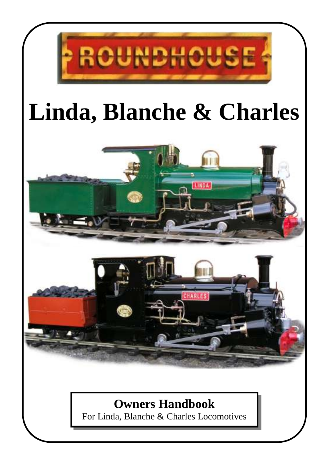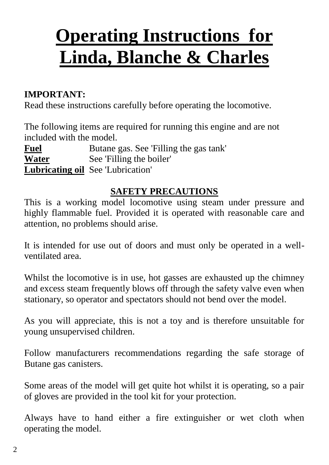# **Operating Instructions for Linda, Blanche & Charles**

#### **IMPORTANT:**

Read these instructions carefully before operating the locomotive.

The following items are required for running this engine and are not included with the model.

**Fuel** Butane gas. See 'Filling the gas tank' **Water** See 'Filling the boiler' **Lubricating oil** See 'Lubrication'

#### **SAFETY PRECAUTIONS**

This is a working model locomotive using steam under pressure and highly flammable fuel. Provided it is operated with reasonable care and attention, no problems should arise.

It is intended for use out of doors and must only be operated in a wellventilated area.

Whilst the locomotive is in use, hot gasses are exhausted up the chimney and excess steam frequently blows off through the safety valve even when stationary, so operator and spectators should not bend over the model.

As you will appreciate, this is not a toy and is therefore unsuitable for young unsupervised children.

Follow manufacturers recommendations regarding the safe storage of Butane gas canisters.

Some areas of the model will get quite hot whilst it is operating, so a pair of gloves are provided in the tool kit for your protection.

Always have to hand either a fire extinguisher or wet cloth when operating the model.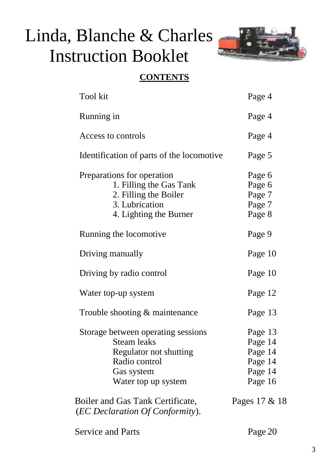# Linda, Blanche & Charles Instruction Booklet



#### **CONTENTS**

| Tool kit                                                                                                                                 | Page 4                                                         |
|------------------------------------------------------------------------------------------------------------------------------------------|----------------------------------------------------------------|
| Running in                                                                                                                               | Page 4                                                         |
| Access to controls                                                                                                                       | Page 4                                                         |
| Identification of parts of the locomotive                                                                                                | Page 5                                                         |
| Preparations for operation<br>1. Filling the Gas Tank<br>2. Filling the Boiler<br>3. Lubrication<br>4. Lighting the Burner               | Page 6<br>Page 6<br>Page 7<br>Page 7<br>Page 8                 |
| Running the locomotive                                                                                                                   | Page 9                                                         |
| Driving manually                                                                                                                         | Page 10                                                        |
| Driving by radio control                                                                                                                 | Page 10                                                        |
| Water top-up system                                                                                                                      | Page 12                                                        |
| Trouble shooting & maintenance                                                                                                           | Page 13                                                        |
| Storage between operating sessions<br><b>Steam leaks</b><br>Regulator not shutting<br>Radio control<br>Gas system<br>Water top up system | Page 13<br>Page 14<br>Page 14<br>Page 14<br>Page 14<br>Page 16 |
| Boiler and Gas Tank Certificate,<br>(EC Declaration Of Conformity).                                                                      | Pages 17 & 18                                                  |

Service and Parts Page 20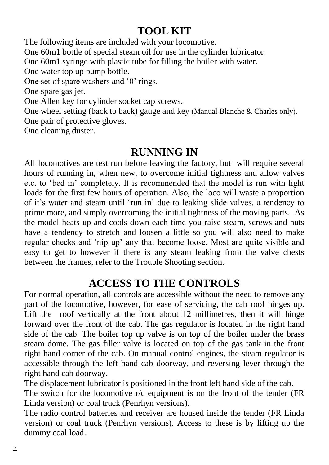## **TOOL KIT**

The following items are included with your locomotive. One 60m1 bottle of special steam oil for use in the cylinder lubricator. One 60m1 syringe with plastic tube for filling the boiler with water. One water top up pump bottle. One set of spare washers and '0' rings. One spare gas jet. One Allen key for cylinder socket cap screws. One wheel setting (back to back) gauge and key (Manual Blanche & Charles only). One pair of protective gloves. One cleaning duster.

#### **RUNNING IN**

All locomotives are test run before leaving the factory, but will require several hours of running in, when new, to overcome initial tightness and allow valves etc. to 'bed in' completely. It is recommended that the model is run with light loads for the first few hours of operation. Also, the loco will waste a proportion of it's water and steam until 'run in' due to leaking slide valves, a tendency to prime more, and simply overcoming the initial tightness of the moving parts. As the model heats up and cools down each time you raise steam, screws and nuts have a tendency to stretch and loosen a little so you will also need to make regular checks and 'nip up' any that become loose. Most are quite visible and easy to get to however if there is any steam leaking from the valve chests between the frames, refer to the Trouble Shooting section.

## **ACCESS TO THE CONTROLS**

For normal operation, all controls are accessible without the need to remove any part of the locomotive, however, for ease of servicing, the cab roof hinges up. Lift the roof vertically at the front about 12 millimetres, then it will hinge forward over the front of the cab. The gas regulator is located in the right hand side of the cab. The boiler top up valve is on top of the boiler under the brass steam dome. The gas filler valve is located on top of the gas tank in the front right hand corner of the cab. On manual control engines, the steam regulator is accessible through the left hand cab doorway, and reversing lever through the right hand cab doorway.

The displacement lubricator is positioned in the front left hand side of the cab.

The switch for the locomotive r/c equipment is on the front of the tender (FR Linda version) or coal truck (Penrhyn versions).

The radio control batteries and receiver are housed inside the tender (FR Linda version) or coal truck (Penrhyn versions). Access to these is by lifting up the dummy coal load.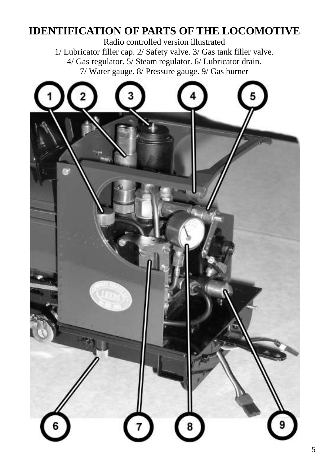## **IDENTIFICATION OF PARTS OF THE LOCOMOTIVE**

Radio controlled version illustrated 1/ Lubricator filler cap. 2/ Safety valve. 3/ Gas tank filler valve. 4/ Gas regulator. 5/ Steam regulator. 6/ Lubricator drain. 7/ Water gauge. 8/ Pressure gauge. 9/ Gas burner

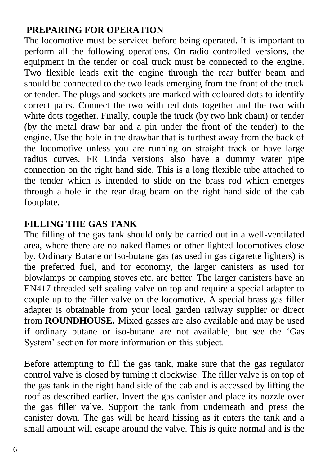#### **PREPARING FOR OPERATION**

The locomotive must be serviced before being operated. It is important to perform all the following operations. On radio controlled versions, the equipment in the tender or coal truck must be connected to the engine. Two flexible leads exit the engine through the rear buffer beam and should be connected to the two leads emerging from the front of the truck or tender. The plugs and sockets are marked with coloured dots to identify correct pairs. Connect the two with red dots together and the two with white dots together. Finally, couple the truck (by two link chain) or tender (by the metal draw bar and a pin under the front of the tender) to the engine. Use the hole in the drawbar that is furthest away from the back of the locomotive unless you are running on straight track or have large radius curves. FR Linda versions also have a dummy water pipe connection on the right hand side. This is a long flexible tube attached to the tender which is intended to slide on the brass rod which emerges through a hole in the rear drag beam on the right hand side of the cab footplate.

#### **FILLING THE GAS TANK**

The filling of the gas tank should only be carried out in a well-ventilated area, where there are no naked flames or other lighted locomotives close by. Ordinary Butane or Iso-butane gas (as used in gas cigarette lighters) is the preferred fuel, and for economy, the larger canisters as used for blowlamps or camping stoves etc. are better. The larger canisters have an EN417 threaded self sealing valve on top and require a special adapter to couple up to the filler valve on the locomotive. A special brass gas filler adapter is obtainable from your local garden railway supplier or direct from **ROUNDHOUSE.** Mixed gasses are also available and may be used if ordinary butane or iso-butane are not available, but see the 'Gas System' section for more information on this subject.

Before attempting to fill the gas tank, make sure that the gas regulator control valve is closed by turning it clockwise. The filler valve is on top of the gas tank in the right hand side of the cab and is accessed by lifting the roof as described earlier. Invert the gas canister and place its nozzle over the gas filler valve. Support the tank from underneath and press the canister down. The gas will be heard hissing as it enters the tank and a small amount will escape around the valve. This is quite normal and is the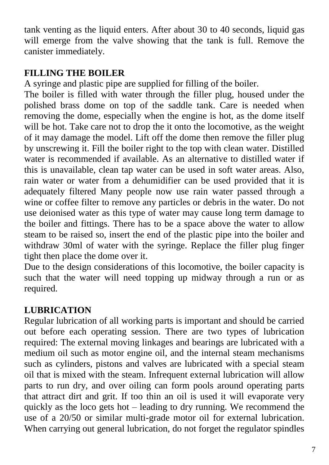tank venting as the liquid enters. After about 30 to 40 seconds, liquid gas will emerge from the valve showing that the tank is full. Remove the canister immediately.

#### **FILLING THE BOILER**

A syringe and plastic pipe are supplied for filling of the boiler.

The boiler is filled with water through the filler plug, housed under the polished brass dome on top of the saddle tank. Care is needed when removing the dome, especially when the engine is hot, as the dome itself will be hot. Take care not to drop the it onto the locomotive, as the weight of it may damage the model. Lift off the dome then remove the filler plug by unscrewing it. Fill the boiler right to the top with clean water. Distilled water is recommended if available. As an alternative to distilled water if this is unavailable, clean tap water can be used in soft water areas. Also, rain water or water from a dehumidifier can be used provided that it is adequately filtered Many people now use rain water passed through a wine or coffee filter to remove any particles or debris in the water. Do not use deionised water as this type of water may cause long term damage to the boiler and fittings. There has to be a space above the water to allow steam to be raised so, insert the end of the plastic pipe into the boiler and withdraw 30ml of water with the syringe. Replace the filler plug finger tight then place the dome over it.

Due to the design considerations of this locomotive, the boiler capacity is such that the water will need topping up midway through a run or as required.

#### **LUBRICATION**

Regular lubrication of all working parts is important and should be carried out before each operating session. There are two types of lubrication required: The external moving linkages and bearings are lubricated with a medium oil such as motor engine oil, and the internal steam mechanisms such as cylinders, pistons and valves are lubricated with a special steam oil that is mixed with the steam. Infrequent external lubrication will allow parts to run dry, and over oiling can form pools around operating parts that attract dirt and grit. If too thin an oil is used it will evaporate very quickly as the loco gets hot – leading to dry running. We recommend the use of a 20/50 or similar multi-grade motor oil for external lubrication. When carrying out general lubrication, do not forget the regulator spindles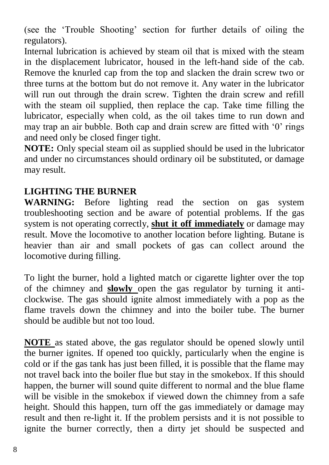(see the 'Trouble Shooting' section for further details of oiling the regulators).

Internal lubrication is achieved by steam oil that is mixed with the steam in the displacement lubricator, housed in the left-hand side of the cab. Remove the knurled cap from the top and slacken the drain screw two or three turns at the bottom but do not remove it. Any water in the lubricator will run out through the drain screw. Tighten the drain screw and refill with the steam oil supplied, then replace the cap. Take time filling the lubricator, especially when cold, as the oil takes time to run down and may trap an air bubble. Both cap and drain screw are fitted with '0' rings and need only be closed finger tight.

**NOTE:** Only special steam oil as supplied should be used in the lubricator and under no circumstances should ordinary oil be substituted, or damage may result.

#### **LIGHTING THE BURNER**

**WARNING:** Before lighting read the section on gas system troubleshooting section and be aware of potential problems. If the gas system is not operating correctly, **shut it off immediately** or damage may result. Move the locomotive to another location before lighting. Butane is heavier than air and small pockets of gas can collect around the locomotive during filling.

To light the burner, hold a lighted match or cigarette lighter over the top of the chimney and **slowly** open the gas regulator by turning it anticlockwise. The gas should ignite almost immediately with a pop as the flame travels down the chimney and into the boiler tube. The burner should be audible but not too loud.

**NOTE** as stated above, the gas regulator should be opened slowly until the burner ignites. If opened too quickly, particularly when the engine is cold or if the gas tank has just been filled, it is possible that the flame may not travel back into the boiler flue but stay in the smokebox. If this should happen, the burner will sound quite different to normal and the blue flame will be visible in the smokebox if viewed down the chimney from a safe height. Should this happen, turn off the gas immediately or damage may result and then re-light it. If the problem persists and it is not possible to ignite the burner correctly, then a dirty jet should be suspected and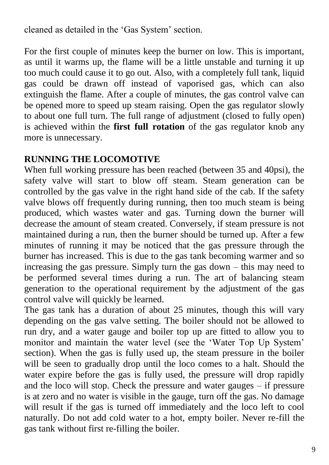cleaned as detailed in the 'Gas System' section.

For the first couple of minutes keep the burner on low. This is important, as until it warms up, the flame will be a little unstable and turning it up too much could cause it to go out. Also, with a completely full tank, liquid gas could be drawn off instead of vaporised gas, which can also extinguish the flame. After a couple of minutes, the gas control valve can be opened more to speed up steam raising. Open the gas regulator slowly to about one full turn. The full range of adjustment (closed to fully open) is achieved within the **first full rotation** of the gas regulator knob any more is unnecessary.

#### **RUNNING THE LOCOMOTIVE**

When full working pressure has been reached (between 35 and 40psi), the safety valve will start to blow off steam. Steam generation can be controlled by the gas valve in the right hand side of the cab. If the safety valve blows off frequently during running, then too much steam is being produced, which wastes water and gas. Turning down the burner will decrease the amount of steam created. Conversely, if steam pressure is not maintained during a run, then the burner should be turned up. After a few minutes of running it may be noticed that the gas pressure through the burner has increased. This is due to the gas tank becoming warmer and so increasing the gas pressure. Simply turn the gas down – this may need to be performed several times during a run. The art of balancing steam generation to the operational requirement by the adjustment of the gas control valve will quickly be learned.

The gas tank has a duration of about 25 minutes, though this will vary depending on the gas valve setting. The boiler should not be allowed to run dry, and a water gauge and boiler top up are fitted to allow you to monitor and maintain the water level (see the 'Water Top Up System' section). When the gas is fully used up, the steam pressure in the boiler will be seen to gradually drop until the loco comes to a halt. Should the water expire before the gas is fully used, the pressure will drop rapidly and the loco will stop. Check the pressure and water gauges – if pressure is at zero and no water is visible in the gauge, turn off the gas. No damage will result if the gas is turned off immediately and the loco left to cool naturally. Do not add cold water to a hot, empty boiler. Never re-fill the gas tank without first re-filling the boiler.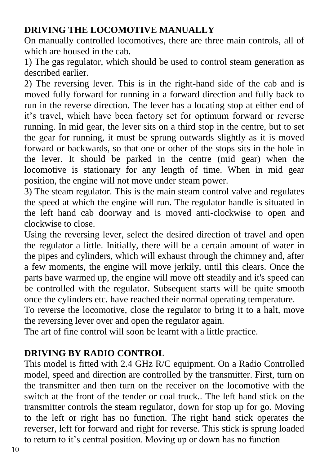#### **DRIVING THE LOCOMOTIVE MANUALLY**

On manually controlled locomotives, there are three main controls, all of which are housed in the cab.

1) The gas regulator, which should be used to control steam generation as described earlier.

2) The reversing lever. This is in the right-hand side of the cab and is moved fully forward for running in a forward direction and fully back to run in the reverse direction. The lever has a locating stop at either end of it's travel, which have been factory set for optimum forward or reverse running. In mid gear, the lever sits on a third stop in the centre, but to set the gear for running, it must be sprung outwards slightly as it is moved forward or backwards, so that one or other of the stops sits in the hole in the lever. It should be parked in the centre (mid gear) when the locomotive is stationary for any length of time. When in mid gear position, the engine will not move under steam power.

3) The steam regulator. This is the main steam control valve and regulates the speed at which the engine will run. The regulator handle is situated in the left hand cab doorway and is moved anti-clockwise to open and clockwise to close.

Using the reversing lever, select the desired direction of travel and open the regulator a little. Initially, there will be a certain amount of water in the pipes and cylinders, which will exhaust through the chimney and, after a few moments, the engine will move jerkily, until this clears. Once the parts have warmed up, the engine will move off steadily and it's speed can be controlled with the regulator. Subsequent starts will be quite smooth once the cylinders etc. have reached their normal operating temperature.

To reverse the locomotive, close the regulator to bring it to a halt, move the reversing lever over and open the regulator again.

The art of fine control will soon be learnt with a little practice.

#### **DRIVING BY RADIO CONTROL**

This model is fitted with 2.4 GHz R/C equipment. On a Radio Controlled model, speed and direction are controlled by the transmitter. First, turn on the transmitter and then turn on the receiver on the locomotive with the switch at the front of the tender or coal truck.. The left hand stick on the transmitter controls the steam regulator, down for stop up for go. Moving to the left or right has no function. The right hand stick operates the reverser, left for forward and right for reverse. This stick is sprung loaded to return to it's central position. Moving up or down has no function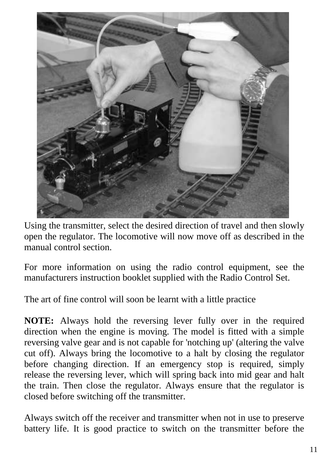

Using the transmitter, select the desired direction of travel and then slowly open the regulator. The locomotive will now move off as described in the manual control section.

For more information on using the radio control equipment, see the manufacturers instruction booklet supplied with the Radio Control Set.

The art of fine control will soon be learnt with a little practice

**NOTE:** Always hold the reversing lever fully over in the required direction when the engine is moving. The model is fitted with a simple reversing valve gear and is not capable for 'notching up' (altering the valve cut off). Always bring the locomotive to a halt by closing the regulator before changing direction. If an emergency stop is required, simply release the reversing lever, which will spring back into mid gear and halt the train. Then close the regulator. Always ensure that the regulator is closed before switching off the transmitter.

Always switch off the receiver and transmitter when not in use to preserve battery life. It is good practice to switch on the transmitter before the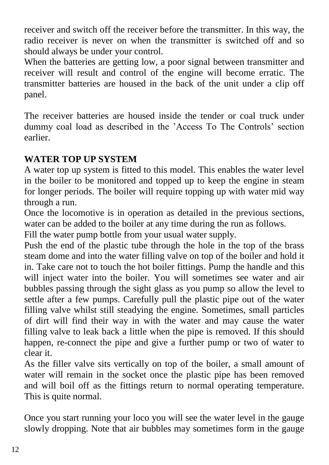receiver and switch off the receiver before the transmitter. In this way, the radio receiver is never on when the transmitter is switched off and so should always be under your control.

When the batteries are getting low, a poor signal between transmitter and receiver will result and control of the engine will become erratic. The transmitter batteries are housed in the back of the unit under a clip off panel.

The receiver batteries are housed inside the tender or coal truck under dummy coal load as described in the 'Access To The Controls' section earlier.

#### **WATER TOP UP SYSTEM**

A water top up system is fitted to this model. This enables the water level in the boiler to be monitored and topped up to keep the engine in steam for longer periods. The boiler will require topping up with water mid way through a run.

Once the locomotive is in operation as detailed in the previous sections, water can be added to the boiler at any time during the run as follows.

Fill the water pump bottle from your usual water supply.

Push the end of the plastic tube through the hole in the top of the brass steam dome and into the water filling valve on top of the boiler and hold it in. Take care not to touch the hot boiler fittings. Pump the handle and this will inject water into the boiler. You will sometimes see water and air bubbles passing through the sight glass as you pump so allow the level to settle after a few pumps. Carefully pull the plastic pipe out of the water filling valve whilst still steadying the engine. Sometimes, small particles of dirt will find their way in with the water and may cause the water filling valve to leak back a little when the pipe is removed. If this should happen, re-connect the pipe and give a further pump or two of water to clear it.

As the filler valve sits vertically on top of the boiler, a small amount of water will remain in the socket once the plastic pipe has been removed and will boil off as the fittings return to normal operating temperature. This is quite normal.

Once you start running your loco you will see the water level in the gauge slowly dropping. Note that air bubbles may sometimes form in the gauge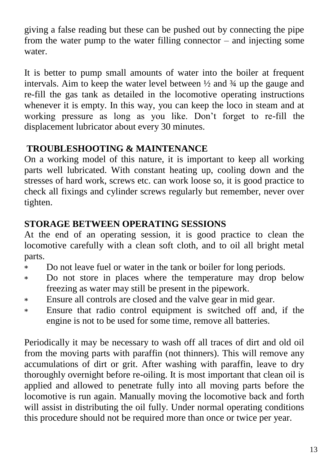giving a false reading but these can be pushed out by connecting the pipe from the water pump to the water filling connector – and injecting some water.

It is better to pump small amounts of water into the boiler at frequent intervals. Aim to keep the water level between  $\frac{1}{2}$  and  $\frac{3}{4}$  up the gauge and re-fill the gas tank as detailed in the locomotive operating instructions whenever it is empty. In this way, you can keep the loco in steam and at working pressure as long as you like. Don't forget to re-fill the displacement lubricator about every 30 minutes.

#### **TROUBLESHOOTING & MAINTENANCE**

On a working model of this nature, it is important to keep all working parts well lubricated. With constant heating up, cooling down and the stresses of hard work, screws etc. can work loose so, it is good practice to check all fixings and cylinder screws regularly but remember, never over tighten.

#### **STORAGE BETWEEN OPERATING SESSIONS**

At the end of an operating session, it is good practice to clean the locomotive carefully with a clean soft cloth, and to oil all bright metal parts.

- Do not leave fuel or water in the tank or boiler for long periods.  $\ast$
- Do not store in places where the temperature may drop below sk. freezing as water may still be present in the pipework.
- Ensure all controls are closed and the valve gear in mid gear.  $\ast$
- Ensure that radio control equipment is switched off and, if the \* engine is not to be used for some time, remove all batteries.

Periodically it may be necessary to wash off all traces of dirt and old oil from the moving parts with paraffin (not thinners). This will remove any accumulations of dirt or grit. After washing with paraffin, leave to dry thoroughly overnight before re-oiling. It is most important that clean oil is applied and allowed to penetrate fully into all moving parts before the locomotive is run again. Manually moving the locomotive back and forth will assist in distributing the oil fully. Under normal operating conditions this procedure should not be required more than once or twice per year.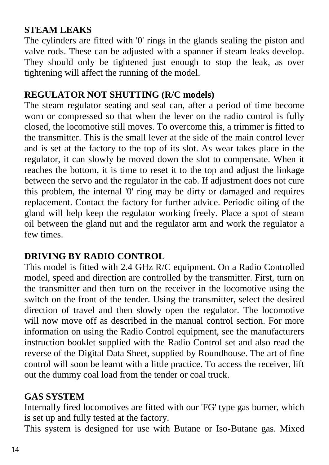#### **STEAM LEAKS**

The cylinders are fitted with '0' rings in the glands sealing the piston and valve rods. These can be adjusted with a spanner if steam leaks develop. They should only be tightened just enough to stop the leak, as over tightening will affect the running of the model.

#### **REGULATOR NOT SHUTTING (R/C models)**

The steam regulator seating and seal can, after a period of time become worn or compressed so that when the lever on the radio control is fully closed, the locomotive still moves. To overcome this, a trimmer is fitted to the transmitter. This is the small lever at the side of the main control lever and is set at the factory to the top of its slot. As wear takes place in the regulator, it can slowly be moved down the slot to compensate. When it reaches the bottom, it is time to reset it to the top and adjust the linkage between the servo and the regulator in the cab. If adjustment does not cure this problem, the internal '0' ring may be dirty or damaged and requires replacement. Contact the factory for further advice. Periodic oiling of the gland will help keep the regulator working freely. Place a spot of steam oil between the gland nut and the regulator arm and work the regulator a few times.

#### **DRIVING BY RADIO CONTROL**

This model is fitted with 2.4 GHz R/C equipment. On a Radio Controlled model, speed and direction are controlled by the transmitter. First, turn on the transmitter and then turn on the receiver in the locomotive using the switch on the front of the tender. Using the transmitter, select the desired direction of travel and then slowly open the regulator. The locomotive will now move off as described in the manual control section. For more information on using the Radio Control equipment, see the manufacturers instruction booklet supplied with the Radio Control set and also read the reverse of the Digital Data Sheet, supplied by Roundhouse. The art of fine control will soon be learnt with a little practice. To access the receiver, lift out the dummy coal load from the tender or coal truck.

#### **GAS SYSTEM**

Internally fired locomotives are fitted with our 'FG' type gas burner, which is set up and fully tested at the factory.

This system is designed for use with Butane or Iso-Butane gas. Mixed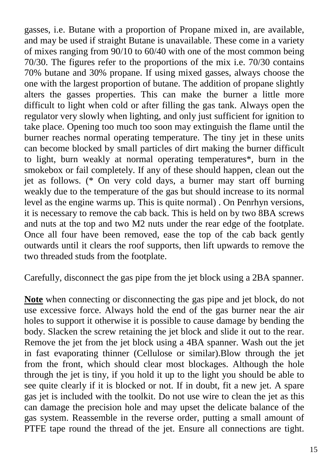gasses, i.e. Butane with a proportion of Propane mixed in, are available, and may be used if straight Butane is unavailable. These come in a variety of mixes ranging from 90/10 to 60/40 with one of the most common being 70/30. The figures refer to the proportions of the mix i.e. 70/30 contains 70% butane and 30% propane. If using mixed gasses, always choose the one with the largest proportion of butane. The addition of propane slightly alters the gasses properties. This can make the burner a little more difficult to light when cold or after filling the gas tank. Always open the regulator very slowly when lighting, and only just sufficient for ignition to take place. Opening too much too soon may extinguish the flame until the burner reaches normal operating temperature. The tiny jet in these units can become blocked by small particles of dirt making the burner difficult to light, burn weakly at normal operating temperatures\*, burn in the smokebox or fail completely. If any of these should happen, clean out the jet as follows. (\* On very cold days, a burner may start off burning weakly due to the temperature of the gas but should increase to its normal level as the engine warms up. This is quite normal) . On Penrhyn versions, it is necessary to remove the cab back. This is held on by two 8BA screws and nuts at the top and two M2 nuts under the rear edge of the footplate. Once all four have been removed, ease the top of the cab back gently outwards until it clears the roof supports, then lift upwards to remove the two threaded studs from the footplate.

Carefully, disconnect the gas pipe from the jet block using a 2BA spanner.

**Note** when connecting or disconnecting the gas pipe and jet block, do not use excessive force. Always hold the end of the gas burner near the air holes to support it otherwise it is possible to cause damage by bending the body. Slacken the screw retaining the jet block and slide it out to the rear. Remove the jet from the jet block using a 4BA spanner. Wash out the jet in fast evaporating thinner (Cellulose or similar).Blow through the jet from the front, which should clear most blockages. Although the hole through the jet is tiny, if you hold it up to the light you should be able to see quite clearly if it is blocked or not. If in doubt, fit a new jet. A spare gas jet is included with the toolkit. Do not use wire to clean the jet as this can damage the precision hole and may upset the delicate balance of the gas system. Reassemble in the reverse order, putting a small amount of PTFE tape round the thread of the jet. Ensure all connections are tight.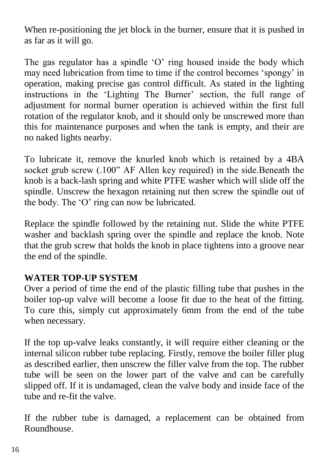When re-positioning the jet block in the burner, ensure that it is pushed in as far as it will go.

The gas regulator has a spindle 'O' ring housed inside the body which may need lubrication from time to time if the control becomes 'spongy' in operation, making precise gas control difficult. As stated in the lighting instructions in the 'Lighting The Burner' section, the full range of adjustment for normal burner operation is achieved within the first full rotation of the regulator knob, and it should only be unscrewed more than this for maintenance purposes and when the tank is empty, and their are no naked lights nearby.

To lubricate it, remove the knurled knob which is retained by a 4BA socket grub screw (.100" AF Allen key required) in the side.Beneath the knob is a back-lash spring and white PTFE washer which will slide off the spindle. Unscrew the hexagon retaining nut then screw the spindle out of the body. The 'O' ring can now be lubricated.

Replace the spindle followed by the retaining nut. Slide the white PTFE washer and backlash spring over the spindle and replace the knob. Note that the grub screw that holds the knob in place tightens into a groove near the end of the spindle.

#### **WATER TOP-UP SYSTEM**

Over a period of time the end of the plastic filling tube that pushes in the boiler top-up valve will become a loose fit due to the heat of the fitting. To cure this, simply cut approximately 6mm from the end of the tube when necessary.

If the top up-valve leaks constantly, it will require either cleaning or the internal silicon rubber tube replacing. Firstly, remove the boiler filler plug as described earlier, then unscrew the filler valve from the top. The rubber tube will be seen on the lower part of the valve and can be carefully slipped off. If it is undamaged, clean the valve body and inside face of the tube and re-fit the valve.

If the rubber tube is damaged, a replacement can be obtained from Roundhouse.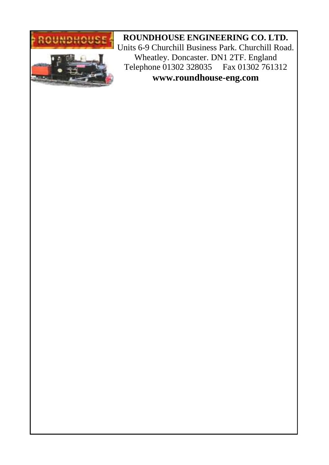

**ROUNDHOUSE ENGINEERING CO. LTD.** Units 6-9 Churchill Business Park. Churchill Road. Wheatley. Doncaster. DN1 2TF. England Telephone 01302 328035 Fax 01302 761312 **www.roundhouse-eng.com**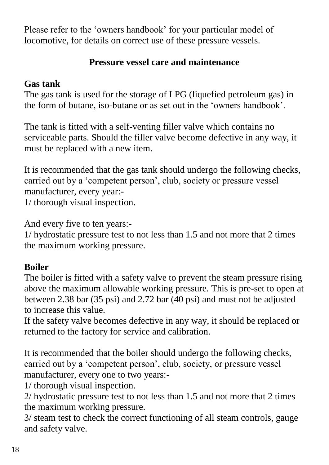Please refer to the 'owners handbook' for your particular model of locomotive, for details on correct use of these pressure vessels.

#### **Pressure vessel care and maintenance**

#### **Gas tank**

The gas tank is used for the storage of LPG (liquefied petroleum gas) in the form of butane, iso-butane or as set out in the 'owners handbook'.

The tank is fitted with a self-venting filler valve which contains no serviceable parts. Should the filler valve become defective in any way, it must be replaced with a new item.

It is recommended that the gas tank should undergo the following checks, carried out by a 'competent person', club, society or pressure vessel manufacturer, every year:-

1/ thorough visual inspection.

And every five to ten years:-

1/ hydrostatic pressure test to not less than 1.5 and not more that 2 times the maximum working pressure.

### **Boiler**

The boiler is fitted with a safety valve to prevent the steam pressure rising above the maximum allowable working pressure. This is pre-set to open at between 2.38 bar (35 psi) and 2.72 bar (40 psi) and must not be adjusted to increase this value.

If the safety valve becomes defective in any way, it should be replaced or returned to the factory for service and calibration.

It is recommended that the boiler should undergo the following checks, carried out by a 'competent person', club, society, or pressure vessel manufacturer, every one to two years:-

1/ thorough visual inspection.

2/ hydrostatic pressure test to not less than 1.5 and not more that 2 times the maximum working pressure.

3/ steam test to check the correct functioning of all steam controls, gauge and safety valve.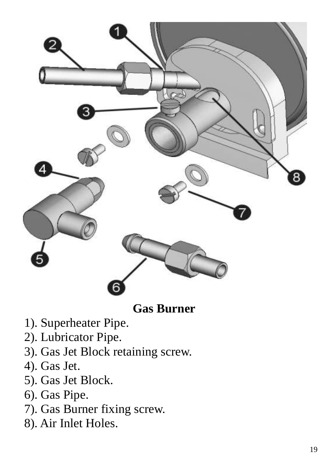

**Gas Burner**

- 1). Superheater Pipe .
- 2). Lubricator Pipe.
- 3). Gas Jet Block retaining screw.
- 4). Gas Jet .
- 5). Gas Jet Block.
- 6). Gas Pipe .
- 7). Gas Burner fixing screw.
- 8). Air Inlet Holes.